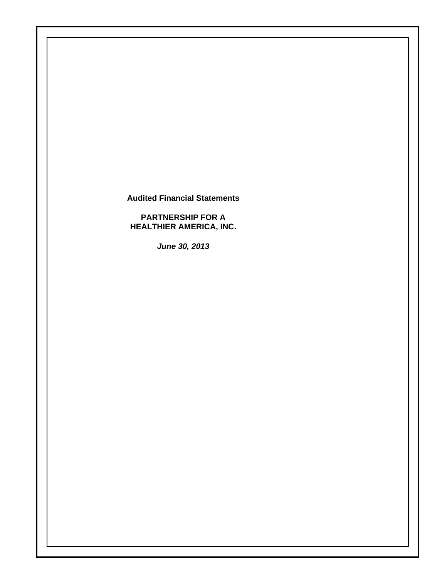**Audited Financial Statements** 

**PARTNERSHIP FOR A HEALTHIER AMERICA, INC.** 

*June 30, 2013*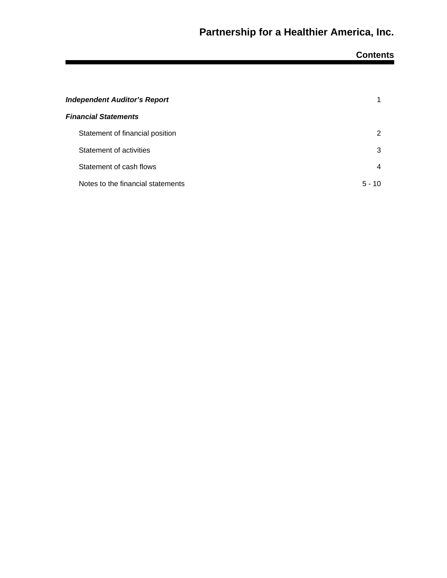# **Contents**

| <b>Independent Auditor's Report</b> |           |
|-------------------------------------|-----------|
| <b>Financial Statements</b>         |           |
| Statement of financial position     | 2         |
| Statement of activities             | 3         |
| Statement of cash flows             | 4         |
| Notes to the financial statements   | 5 -<br>10 |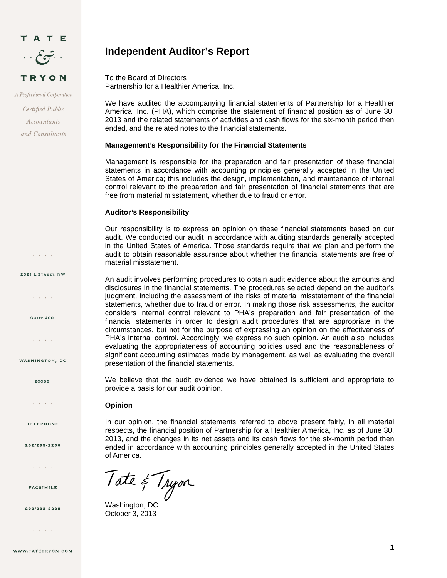

A Professional Corporation

Certified Public Accountants and Consultants

 $\mathcal{L} = \mathcal{L} \times \mathcal{L} \times \mathcal{L}$ 

2021 L Street, NW

 $\omega$  . The second second  $\omega$ 

SUITE 400

and a state

WASHINGTON, DC

20036

 $\mathbf{r} = \mathbf{r} + \mathbf{r} + \mathbf{r}$ 

**TELEPHONE** 

202/293-2200

 $\mathcal{L}^{\mathcal{A}}$  ,  $\mathcal{L}^{\mathcal{A}}$  ,  $\mathcal{L}^{\mathcal{A}}$  ,  $\mathcal{L}^{\mathcal{A}}$ 

**FACSIMILE** 

202/293-2208

and a state

## **Independent Auditor's Report**

To the Board of Directors Partnership for a Healthier America, Inc.

We have audited the accompanying financial statements of Partnership for a Healthier America, Inc. (PHA), which comprise the statement of financial position as of June 30, 2013 and the related statements of activities and cash flows for the six-month period then ended, and the related notes to the financial statements.

#### **Management's Responsibility for the Financial Statements**

Management is responsible for the preparation and fair presentation of these financial statements in accordance with accounting principles generally accepted in the United States of America; this includes the design, implementation, and maintenance of internal control relevant to the preparation and fair presentation of financial statements that are free from material misstatement, whether due to fraud or error.

#### **Auditor's Responsibility**

Our responsibility is to express an opinion on these financial statements based on our audit. We conducted our audit in accordance with auditing standards generally accepted in the United States of America. Those standards require that we plan and perform the audit to obtain reasonable assurance about whether the financial statements are free of material misstatement.

An audit involves performing procedures to obtain audit evidence about the amounts and disclosures in the financial statements. The procedures selected depend on the auditor's judgment, including the assessment of the risks of material misstatement of the financial statements, whether due to fraud or error. In making those risk assessments, the auditor considers internal control relevant to PHA's preparation and fair presentation of the financial statements in order to design audit procedures that are appropriate in the circumstances, but not for the purpose of expressing an opinion on the effectiveness of PHA's internal control. Accordingly, we express no such opinion. An audit also includes evaluating the appropriateness of accounting policies used and the reasonableness of significant accounting estimates made by management, as well as evaluating the overall presentation of the financial statements.

We believe that the audit evidence we have obtained is sufficient and appropriate to provide a basis for our audit opinion.

#### **Opinion**

In our opinion, the financial statements referred to above present fairly, in all material respects, the financial position of Partnership for a Healthier America, Inc. as of June 30, 2013, and the changes in its net assets and its cash flows for the six-month period then ended in accordance with accounting principles generally accepted in the United States of America.

Tate & Tryon

Washington, DC October 3, 2013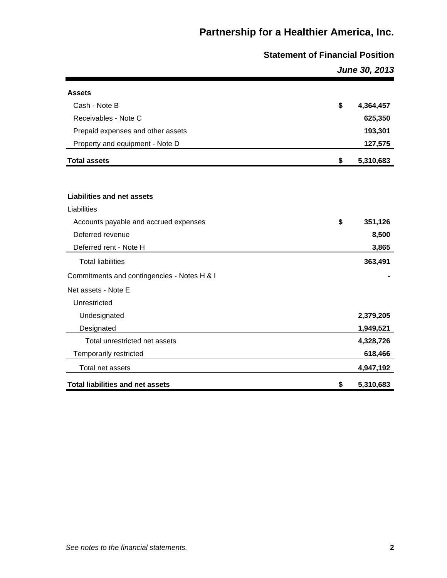|                                             | <b>Statement of Financial Position</b> |  |
|---------------------------------------------|----------------------------------------|--|
|                                             | June 30, 2013                          |  |
| <b>Assets</b>                               |                                        |  |
| Cash - Note B                               | \$<br>4,364,457                        |  |
| Receivables - Note C                        | 625,350                                |  |
| Prepaid expenses and other assets           | 193,301                                |  |
| Property and equipment - Note D             | 127,575                                |  |
| <b>Total assets</b>                         | \$<br>5,310,683                        |  |
| <b>Liabilities and net assets</b>           |                                        |  |
| Liabilities                                 |                                        |  |
| Accounts payable and accrued expenses       | \$<br>351,126                          |  |
| Deferred revenue                            | 8,500                                  |  |
| Deferred rent - Note H                      | 3,865                                  |  |
| <b>Total liabilities</b>                    | 363,491                                |  |
| Commitments and contingencies - Notes H & I |                                        |  |
| Net assets - Note E                         |                                        |  |
| Unrestricted                                |                                        |  |
| Undesignated                                | 2,379,205                              |  |
| Designated                                  | 1,949,521                              |  |
| Total unrestricted net assets               | 4,328,726                              |  |
| Temporarily restricted                      | 618,466                                |  |
| Total net assets                            | 4,947,192                              |  |
| <b>Total liabilities and net assets</b>     | \$<br>5,310,683                        |  |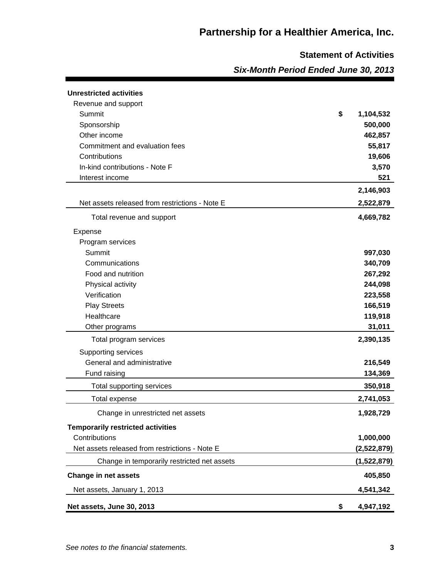# **Statement of Activities**

*Six-Month Period Ended June 30, 2013* 

| <b>Unrestricted activities</b>                 |                 |
|------------------------------------------------|-----------------|
| Revenue and support                            |                 |
| Summit                                         | \$<br>1,104,532 |
| Sponsorship                                    | 500,000         |
| Other income                                   | 462,857         |
| Commitment and evaluation fees                 | 55,817          |
| Contributions                                  | 19,606          |
| In-kind contributions - Note F                 | 3,570           |
| Interest income                                | 521             |
|                                                | 2,146,903       |
| Net assets released from restrictions - Note E | 2,522,879       |
| Total revenue and support                      | 4,669,782       |
| Expense                                        |                 |
| Program services                               |                 |
| Summit                                         | 997,030         |
| Communications                                 | 340,709         |
| Food and nutrition                             | 267,292         |
| Physical activity                              | 244,098         |
| Verification                                   | 223,558         |
| <b>Play Streets</b>                            | 166,519         |
| Healthcare                                     | 119,918         |
| Other programs                                 | 31,011          |
| Total program services                         | 2,390,135       |
| Supporting services                            |                 |
| General and administrative                     | 216,549         |
| Fund raising                                   | 134,369         |
| Total supporting services                      | 350,918         |
| Total expense                                  | 2,741,053       |
| Change in unrestricted net assets              | 1,928,729       |
| <b>Temporarily restricted activities</b>       |                 |
| Contributions                                  | 1,000,000       |
| Net assets released from restrictions - Note E | (2,522,879)     |
| Change in temporarily restricted net assets    | (1,522,879)     |
| <b>Change in net assets</b>                    | 405,850         |
| Net assets, January 1, 2013                    | 4,541,342       |
| Net assets, June 30, 2013                      | \$<br>4,947,192 |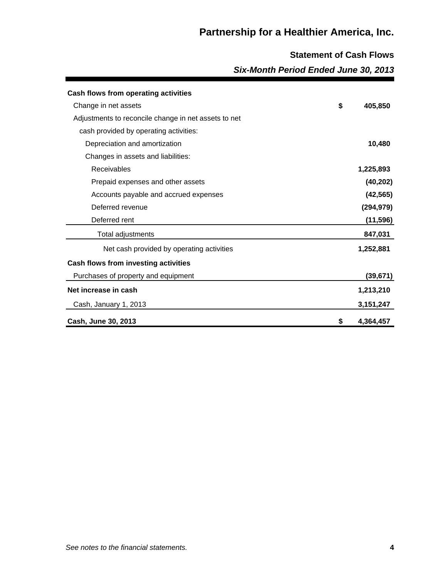# **Statement of Cash Flows**

*Six-Month Period Ended June 30, 2013*

| Cash flows from operating activities                 |                 |
|------------------------------------------------------|-----------------|
| Change in net assets                                 | \$<br>405,850   |
| Adjustments to reconcile change in net assets to net |                 |
| cash provided by operating activities:               |                 |
| Depreciation and amortization                        | 10,480          |
| Changes in assets and liabilities:                   |                 |
| Receivables                                          | 1,225,893       |
| Prepaid expenses and other assets                    | (40, 202)       |
| Accounts payable and accrued expenses                | (42, 565)       |
| Deferred revenue                                     | (294, 979)      |
| Deferred rent                                        | (11, 596)       |
| Total adjustments                                    | 847,031         |
| Net cash provided by operating activities            | 1,252,881       |
| Cash flows from investing activities                 |                 |
| Purchases of property and equipment                  | (39, 671)       |
| Net increase in cash                                 | 1,213,210       |
| Cash, January 1, 2013                                | 3, 151, 247     |
| Cash, June 30, 2013                                  | \$<br>4.364.457 |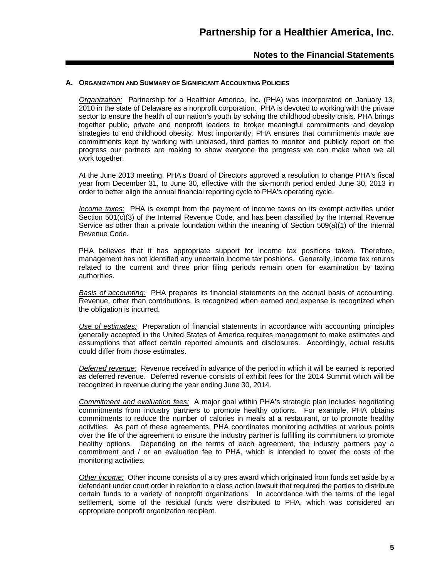#### **A. ORGANIZATION AND SUMMARY OF SIGNIFICANT ACCOUNTING POLICIES**

*Organization:* Partnership for a Healthier America, Inc. (PHA) was incorporated on January 13, 2010 in the state of Delaware as a nonprofit corporation. PHA is devoted to working with the private sector to ensure the health of our nation's youth by solving the childhood obesity crisis. PHA brings together public, private and nonprofit leaders to broker meaningful commitments and develop strategies to end childhood obesity. Most importantly, PHA ensures that commitments made are commitments kept by working with unbiased, third parties to monitor and publicly report on the progress our partners are making to show everyone the progress we can make when we all work together.

At the June 2013 meeting, PHA's Board of Directors approved a resolution to change PHA's fiscal year from December 31, to June 30, effective with the six-month period ended June 30, 2013 in order to better align the annual financial reporting cycle to PHA's operating cycle.

*Income taxes:* PHA is exempt from the payment of income taxes on its exempt activities under Section 501(c)(3) of the Internal Revenue Code, and has been classified by the Internal Revenue Service as other than a private foundation within the meaning of Section 509(a)(1) of the Internal Revenue Code.

PHA believes that it has appropriate support for income tax positions taken. Therefore, management has not identified any uncertain income tax positions. Generally, income tax returns related to the current and three prior filing periods remain open for examination by taxing authorities.

*Basis of accounting:* PHA prepares its financial statements on the accrual basis of accounting. Revenue, other than contributions, is recognized when earned and expense is recognized when the obligation is incurred.

*Use of estimates:* Preparation of financial statements in accordance with accounting principles generally accepted in the United States of America requires management to make estimates and assumptions that affect certain reported amounts and disclosures. Accordingly, actual results could differ from those estimates.

*Deferred revenue:* Revenue received in advance of the period in which it will be earned is reported as deferred revenue. Deferred revenue consists of exhibit fees for the 2014 Summit which will be recognized in revenue during the year ending June 30, 2014.

*Commitment and evaluation fees:* A major goal within PHA's strategic plan includes negotiating commitments from industry partners to promote healthy options. For example, PHA obtains commitments to reduce the number of calories in meals at a restaurant, or to promote healthy activities. As part of these agreements, PHA coordinates monitoring activities at various points over the life of the agreement to ensure the industry partner is fulfilling its commitment to promote healthy options. Depending on the terms of each agreement, the industry partners pay a commitment and / or an evaluation fee to PHA, which is intended to cover the costs of the monitoring activities.

*Other income:* Other income consists of a cy pres award which originated from funds set aside by a defendant under court order in relation to a class action lawsuit that required the parties to distribute certain funds to a variety of nonprofit organizations. In accordance with the terms of the legal settlement, some of the residual funds were distributed to PHA, which was considered an appropriate nonprofit organization recipient.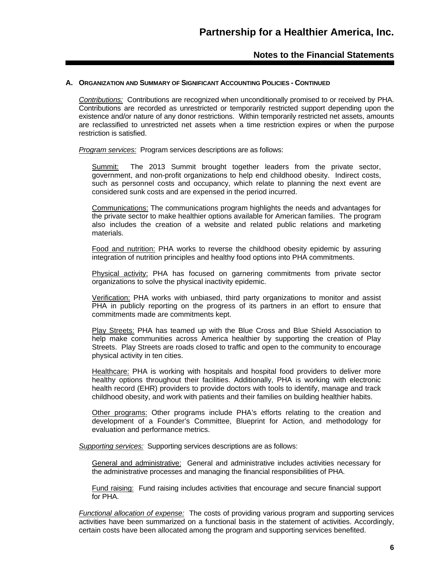#### **A. ORGANIZATION AND SUMMARY OF SIGNIFICANT ACCOUNTING POLICIES - CONTINUED**

*Contributions:* Contributions are recognized when unconditionally promised to or received by PHA. Contributions are recorded as unrestricted or temporarily restricted support depending upon the existence and/or nature of any donor restrictions. Within temporarily restricted net assets, amounts are reclassified to unrestricted net assets when a time restriction expires or when the purpose restriction is satisfied.

*Program services:* Program services descriptions are as follows:

Summit: The 2013 Summit brought together leaders from the private sector, government, and non-profit organizations to help end childhood obesity. Indirect costs, such as personnel costs and occupancy, which relate to planning the next event are considered sunk costs and are expensed in the period incurred.

Communications: The communications program highlights the needs and advantages for the private sector to make healthier options available for American families. The program also includes the creation of a website and related public relations and marketing materials.

Food and nutrition: PHA works to reverse the childhood obesity epidemic by assuring integration of nutrition principles and healthy food options into PHA commitments.

Physical activity: PHA has focused on garnering commitments from private sector organizations to solve the physical inactivity epidemic.

Verification: PHA works with unbiased, third party organizations to monitor and assist PHA in publicly reporting on the progress of its partners in an effort to ensure that commitments made are commitments kept.

Play Streets: PHA has teamed up with the Blue Cross and Blue Shield Association to help make communities across America healthier by supporting the creation of Play Streets. Play Streets are roads closed to traffic and open to the community to encourage physical activity in ten cities.

Healthcare: PHA is working with hospitals and hospital food providers to deliver more healthy options throughout their facilities. Additionally, PHA is working with electronic health record (EHR) providers to provide doctors with tools to identify, manage and track childhood obesity, and work with patients and their families on building healthier habits.

Other programs: Other programs include PHA's efforts relating to the creation and development of a Founder's Committee, Blueprint for Action, and methodology for evaluation and performance metrics.

*Supporting services:* Supporting services descriptions are as follows:

General and administrative:General and administrative includes activities necessary for the administrative processes and managing the financial responsibilities of PHA.

**Fund raising:** Fund raising includes activities that encourage and secure financial support for PHA.

*Functional allocation of expense:* The costs of providing various program and supporting services activities have been summarized on a functional basis in the statement of activities. Accordingly, certain costs have been allocated among the program and supporting services benefited.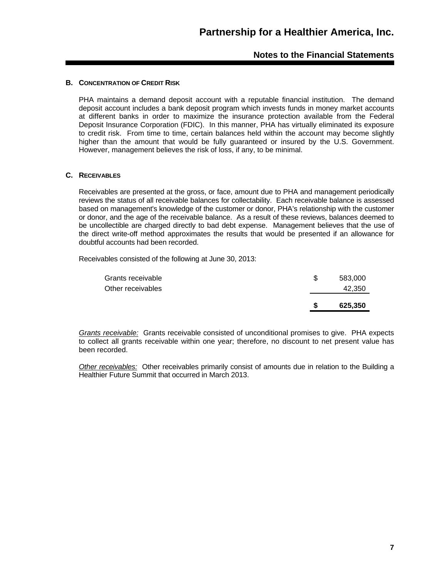#### **B. CONCENTRATION OF CREDIT RISK**

PHA maintains a demand deposit account with a reputable financial institution. The demand deposit account includes a bank deposit program which invests funds in money market accounts at different banks in order to maximize the insurance protection available from the Federal Deposit Insurance Corporation (FDIC). In this manner, PHA has virtually eliminated its exposure to credit risk. From time to time, certain balances held within the account may become slightly higher than the amount that would be fully guaranteed or insured by the U.S. Government. However, management believes the risk of loss, if any, to be minimal.

#### **C. RECEIVABLES**

Receivables are presented at the gross, or face, amount due to PHA and management periodically reviews the status of all receivable balances for collectability. Each receivable balance is assessed based on management's knowledge of the customer or donor, PHA's relationship with the customer or donor, and the age of the receivable balance. As a result of these reviews, balances deemed to be uncollectible are charged directly to bad debt expense. Management believes that the use of the direct write-off method approximates the results that would be presented if an allowance for doubtful accounts had been recorded.

Receivables consisted of the following at June 30, 2013:

|                   | 625,350 |
|-------------------|---------|
| Other receivables | 42.350  |
| Grants receivable | 583,000 |

*Grants receivable:* Grants receivable consisted of unconditional promises to give. PHA expects to collect all grants receivable within one year; therefore, no discount to net present value has been recorded.

*Other receivables:* Other receivables primarily consist of amounts due in relation to the Building a Healthier Future Summit that occurred in March 2013.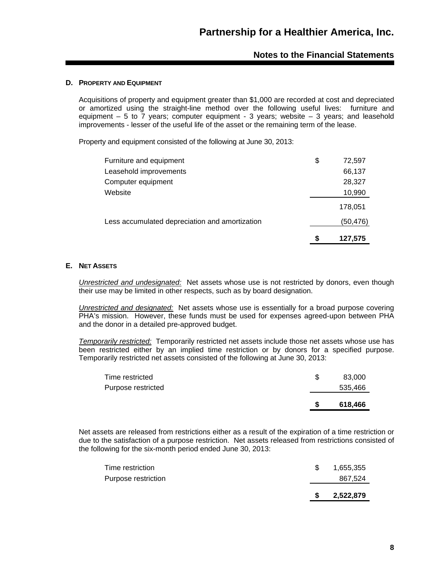#### **D. PROPERTY AND EQUIPMENT**

Acquisitions of property and equipment greater than \$1,000 are recorded at cost and depreciated or amortized using the straight-line method over the following useful lives: furniture and equipment  $-5$  to  $\overline{7}$  years; computer equipment - 3 years; website  $-3$  years; and leasehold improvements - lesser of the useful life of the asset or the remaining term of the lease.

Property and equipment consisted of the following at June 30, 2013:

| Furniture and equipment                        | \$<br>72,597  |
|------------------------------------------------|---------------|
| Leasehold improvements                         | 66,137        |
| Computer equipment                             | 28,327        |
| Website                                        | 10,990        |
|                                                | 178,051       |
| Less accumulated depreciation and amortization | (50, 476)     |
|                                                | \$<br>127,575 |

### **E. NET ASSETS**

*Unrestricted and undesignated:* Net assets whose use is not restricted by donors, even though their use may be limited in other respects, such as by board designation.

*Unrestricted and designated:* Net assets whose use is essentially for a broad purpose covering PHA's mission. However, these funds must be used for expenses agreed-upon between PHA and the donor in a detailed pre-approved budget.

*Temporarily restricted:* Temporarily restricted net assets include those net assets whose use has been restricted either by an implied time restriction or by donors for a specified purpose. Temporarily restricted net assets consisted of the following at June 30, 2013:

| Time restricted    | S | 83,000  |
|--------------------|---|---------|
| Purpose restricted |   | 535,466 |
|                    |   |         |
|                    |   | 618.466 |

Net assets are released from restrictions either as a result of the expiration of a time restriction or due to the satisfaction of a purpose restriction. Net assets released from restrictions consisted of the following for the six-month period ended June 30, 2013:

| Time restriction    |   | 1,655,355            |
|---------------------|---|----------------------|
| Purpose restriction | S | 867,524<br>2,522,879 |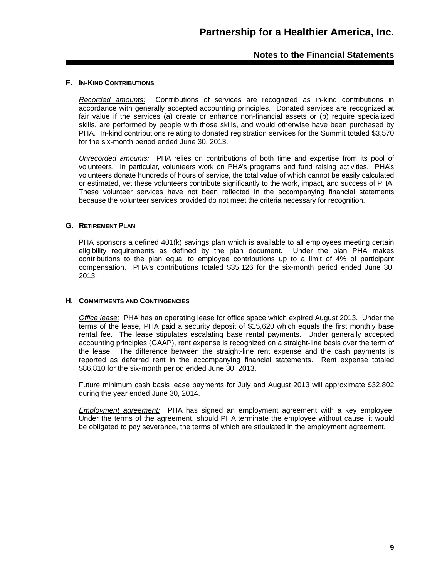#### **F. IN-KIND CONTRIBUTIONS**

*Recorded amounts:* Contributions of services are recognized as in-kind contributions in accordance with generally accepted accounting principles. Donated services are recognized at fair value if the services (a) create or enhance non-financial assets or (b) require specialized skills, are performed by people with those skills, and would otherwise have been purchased by PHA. In-kind contributions relating to donated registration services for the Summit totaled \$3,570 for the six-month period ended June 30, 2013.

*Unrecorded amounts:* PHA relies on contributions of both time and expertise from its pool of volunteers. In particular, volunteers work on PHA's programs and fund raising activities. PHA's volunteers donate hundreds of hours of service, the total value of which cannot be easily calculated or estimated, yet these volunteers contribute significantly to the work, impact, and success of PHA. These volunteer services have not been reflected in the accompanying financial statements because the volunteer services provided do not meet the criteria necessary for recognition.

#### **G. RETIREMENT PLAN**

PHA sponsors a defined 401(k) savings plan which is available to all employees meeting certain eligibility requirements as defined by the plan document. Under the plan PHA makes contributions to the plan equal to employee contributions up to a limit of 4% of participant compensation. PHA's contributions totaled \$35,126 for the six-month period ended June 30, 2013.

#### **H. COMMITMENTS AND CONTINGENCIES**

*Office lease:* PHA has an operating lease for office space which expired August 2013. Under the terms of the lease, PHA paid a security deposit of \$15,620 which equals the first monthly base rental fee. The lease stipulates escalating base rental payments. Under generally accepted accounting principles (GAAP), rent expense is recognized on a straight-line basis over the term of the lease. The difference between the straight-line rent expense and the cash payments is reported as deferred rent in the accompanying financial statements. Rent expense totaled \$86,810 for the six-month period ended June 30, 2013.

Future minimum cash basis lease payments for July and August 2013 will approximate \$32,802 during the year ended June 30, 2014.

*Employment agreement:* PHA has signed an employment agreement with a key employee. Under the terms of the agreement, should PHA terminate the employee without cause, it would be obligated to pay severance, the terms of which are stipulated in the employment agreement.